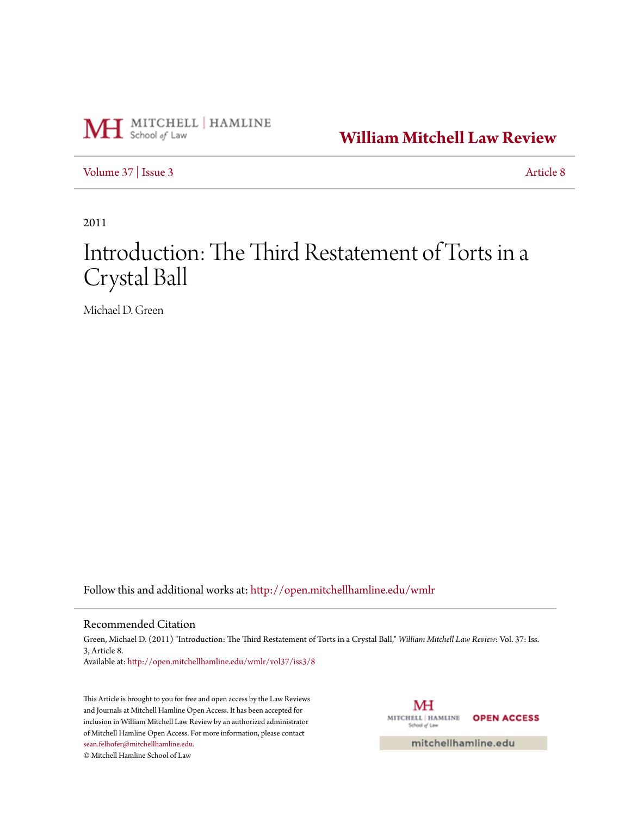

**[William Mitchell Law Review](http://open.mitchellhamline.edu/wmlr?utm_source=open.mitchellhamline.edu%2Fwmlr%2Fvol37%2Fiss3%2F8&utm_medium=PDF&utm_campaign=PDFCoverPages)**

[Volume 37](http://open.mitchellhamline.edu/wmlr/vol37?utm_source=open.mitchellhamline.edu%2Fwmlr%2Fvol37%2Fiss3%2F8&utm_medium=PDF&utm_campaign=PDFCoverPages) | [Issue 3](http://open.mitchellhamline.edu/wmlr/vol37/iss3?utm_source=open.mitchellhamline.edu%2Fwmlr%2Fvol37%2Fiss3%2F8&utm_medium=PDF&utm_campaign=PDFCoverPages) [Article 8](http://open.mitchellhamline.edu/wmlr/vol37/iss3/8?utm_source=open.mitchellhamline.edu%2Fwmlr%2Fvol37%2Fiss3%2F8&utm_medium=PDF&utm_campaign=PDFCoverPages)

2011

# Introduction: The Third Restatement of Torts in a Crystal Ball

Michael D. Green

Follow this and additional works at: [http://open.mitchellhamline.edu/wmlr](http://open.mitchellhamline.edu/wmlr?utm_source=open.mitchellhamline.edu%2Fwmlr%2Fvol37%2Fiss3%2F8&utm_medium=PDF&utm_campaign=PDFCoverPages)

### Recommended Citation

Green, Michael D. (2011) "Introduction: The Third Restatement of Torts in a Crystal Ball," *William Mitchell Law Review*: Vol. 37: Iss. 3, Article 8. Available at: [http://open.mitchellhamline.edu/wmlr/vol37/iss3/8](http://open.mitchellhamline.edu/wmlr/vol37/iss3/8?utm_source=open.mitchellhamline.edu%2Fwmlr%2Fvol37%2Fiss3%2F8&utm_medium=PDF&utm_campaign=PDFCoverPages)

This Article is brought to you for free and open access by the Law Reviews and Journals at Mitchell Hamline Open Access. It has been accepted for inclusion in William Mitchell Law Review by an authorized administrator of Mitchell Hamline Open Access. For more information, please contact [sean.felhofer@mitchellhamline.edu](mailto:sean.felhofer@mitchellhamline.edu).

© Mitchell Hamline School of Law

MH MITCHELL | HAMLINE **OPEN ACCESS** School of Law

mitchellhamline.edu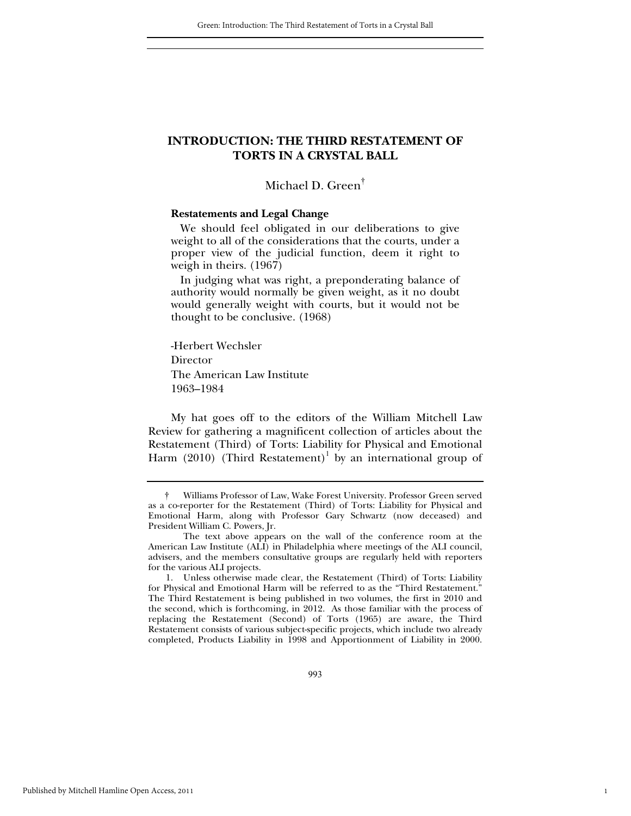# **INTRODUCTION: THE THIRD RESTATEMENT OF TORTS IN A CRYSTAL BALL**

# Michael D. Green†

#### **Restatements and Legal Change**

 We should feel obligated in our deliberations to give weight to all of the considerations that the courts, under a proper view of the judicial function, deem it right to weigh in theirs. (1967)

 In judging what was right, a preponderating balance of authority would normally be given weight, as it no doubt would generally weight with courts, but it would not be thought to be conclusive. (1968)

-Herbert Wechsler Director The American Law Institute 1963–1984

My hat goes off to the editors of the William Mitchell Law Review for gathering a magnificent collection of articles about the Restatement (Third) of Torts: Liability for Physical and Emotional Harm (2010) (Third Restatement)<sup>1</sup> by an international group of

 1. Unless otherwise made clear, the Restatement (Third) of Torts: Liability for Physical and Emotional Harm will be referred to as the "Third Restatement." The Third Restatement is being published in two volumes, the first in 2010 and the second, which is forthcoming, in 2012. As those familiar with the process of replacing the Restatement (Second) of Torts (1965) are aware, the Third Restatement consists of various subject-specific projects, which include two already completed, Products Liability in 1998 and Apportionment of Liability in 2000.

1

 <sup>†</sup> Williams Professor of Law, Wake Forest University. Professor Green served as a co-reporter for the Restatement (Third) of Torts: Liability for Physical and Emotional Harm, along with Professor Gary Schwartz (now deceased) and President William C. Powers, Jr.

The text above appears on the wall of the conference room at the American Law Institute (ALI) in Philadelphia where meetings of the ALI council, advisers, and the members consultative groups are regularly held with reporters for the various ALI projects.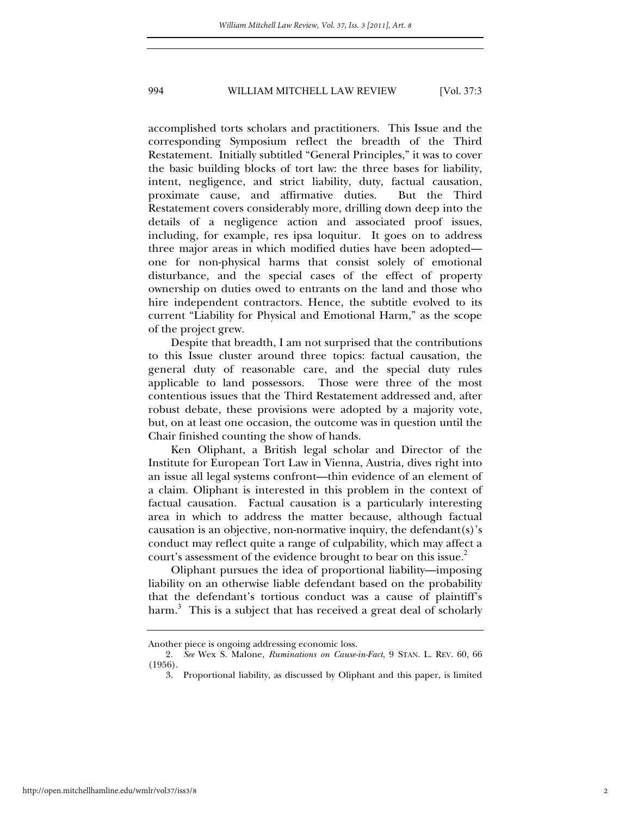accomplished torts scholars and practitioners. This Issue and the corresponding Symposium reflect the breadth of the Third Restatement. Initially subtitled "General Principles," it was to cover the basic building blocks of tort law: the three bases for liability, intent, negligence, and strict liability, duty, factual causation, proximate cause, and affirmative duties. But the Third Restatement covers considerably more, drilling down deep into the details of a negligence action and associated proof issues, including, for example, res ipsa loquitur. It goes on to address three major areas in which modified duties have been adopted one for non-physical harms that consist solely of emotional disturbance, and the special cases of the effect of property ownership on duties owed to entrants on the land and those who hire independent contractors. Hence, the subtitle evolved to its current "Liability for Physical and Emotional Harm," as the scope of the project grew.

Despite that breadth, I am not surprised that the contributions to this Issue cluster around three topics: factual causation, the general duty of reasonable care, and the special duty rules applicable to land possessors. Those were three of the most contentious issues that the Third Restatement addressed and, after robust debate, these provisions were adopted by a majority vote, but, on at least one occasion, the outcome was in question until the Chair finished counting the show of hands.

Ken Oliphant, a British legal scholar and Director of the Institute for European Tort Law in Vienna, Austria, dives right into an issue all legal systems confront—thin evidence of an element of a claim. Oliphant is interested in this problem in the context of factual causation. Factual causation is a particularly interesting area in which to address the matter because, although factual causation is an objective, non-normative inquiry, the defendant(s)'s conduct may reflect quite a range of culpability, which may affect a court's assessment of the evidence brought to bear on this issue.<sup>2</sup>

Oliphant pursues the idea of proportional liability—imposing liability on an otherwise liable defendant based on the probability that the defendant's tortious conduct was a cause of plaintiff's harm.<sup>3</sup> This is a subject that has received a great deal of scholarly

Another piece is ongoing addressing economic loss.

<sup>2</sup>*. See* Wex S. Malone, *Ruminations on Cause-in-Fact*, 9 STAN. L. REV. 60, 66 (1956).

 <sup>3.</sup> Proportional liability, as discussed by Oliphant and this paper, is limited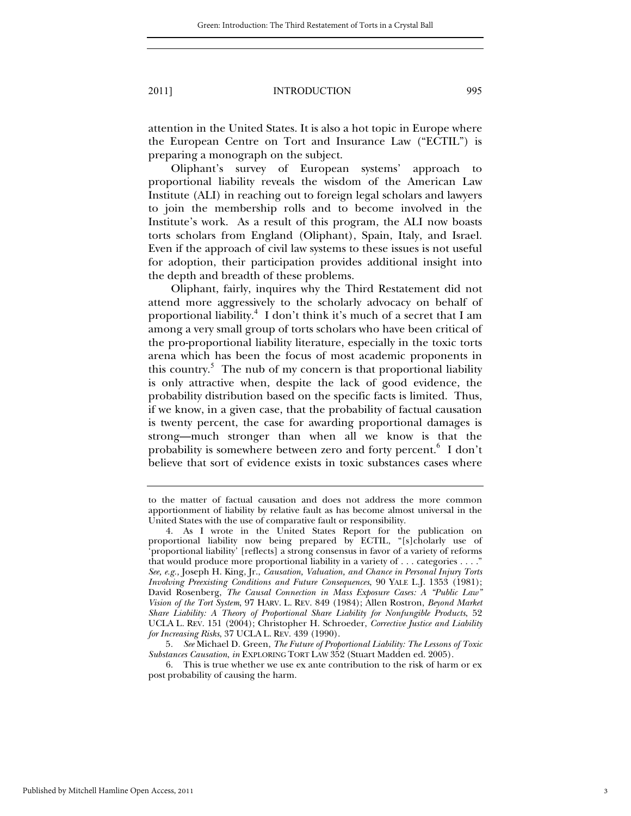attention in the United States. It is also a hot topic in Europe where the European Centre on Tort and Insurance Law ("ECTIL") is preparing a monograph on the subject.

Oliphant's survey of European systems' approach to proportional liability reveals the wisdom of the American Law Institute (ALI) in reaching out to foreign legal scholars and lawyers to join the membership rolls and to become involved in the Institute's work. As a result of this program, the ALI now boasts torts scholars from England (Oliphant), Spain, Italy, and Israel. Even if the approach of civil law systems to these issues is not useful for adoption, their participation provides additional insight into the depth and breadth of these problems.

Oliphant, fairly, inquires why the Third Restatement did not attend more aggressively to the scholarly advocacy on behalf of proportional liability.<sup>4</sup> I don't think it's much of a secret that I am among a very small group of torts scholars who have been critical of the pro-proportional liability literature, especially in the toxic torts arena which has been the focus of most academic proponents in this country.<sup>5</sup> The nub of my concern is that proportional liability is only attractive when, despite the lack of good evidence, the probability distribution based on the specific facts is limited. Thus, if we know, in a given case, that the probability of factual causation is twenty percent, the case for awarding proportional damages is strong—much stronger than when all we know is that the probability is somewhere between zero and forty percent.<sup>6</sup> I don't believe that sort of evidence exists in toxic substances cases where

to the matter of factual causation and does not address the more common apportionment of liability by relative fault as has become almost universal in the United States with the use of comparative fault or responsibility.

 <sup>4.</sup> As I wrote in the United States Report for the publication on proportional liability now being prepared by ECTIL, "[s]cholarly use of 'proportional liability' [reflects] a strong consensus in favor of a variety of reforms that would produce more proportional liability in a variety of . . . categories . . . ." *See, e.g.,* Joseph H. King, Jr., *Causation, Valuation, and Chance in Personal Injury Torts Involving Preexisting Conditions and Future Consequences*, 90 YALE L.J. 1353 (1981); David Rosenberg, *The Causal Connection in Mass Exposure Cases: A "Public Law" Vision of the Tort System*, 97 HARV. L. REV. 849 (1984); Allen Rostron, *Beyond Market Share Liability: A Theory of Proportional Share Liability for Nonfungible Products*, 52 UCLA L. REV. 151 (2004); Christopher H. Schroeder, *Corrective Justice and Liability for Increasing Risks*, 37 UCLA L. REV. 439 (1990).

<sup>5</sup>*. See* Michael D. Green, *The Future of Proportional Liability: The Lessons of Toxic Substances Causation*, *in* EXPLORING TORT LAW 352 (Stuart Madden ed. 2005).

 <sup>6.</sup> This is true whether we use ex ante contribution to the risk of harm or ex post probability of causing the harm.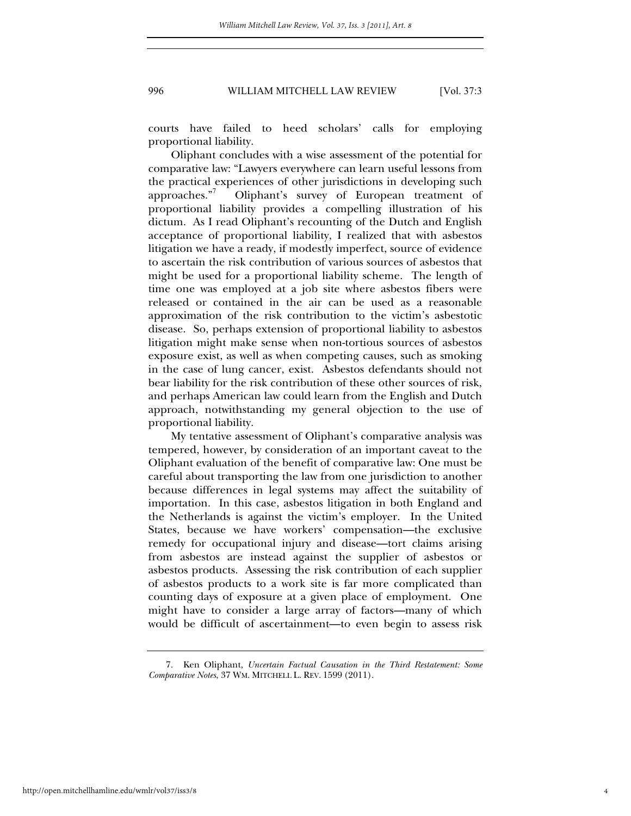courts have failed to heed scholars' calls for employing proportional liability.

Oliphant concludes with a wise assessment of the potential for comparative law: "Lawyers everywhere can learn useful lessons from the practical experiences of other jurisdictions in developing such approaches."<sup>7</sup> Oliphant's survey of European treatment of proportional liability provides a compelling illustration of his dictum. As I read Oliphant's recounting of the Dutch and English acceptance of proportional liability, I realized that with asbestos litigation we have a ready, if modestly imperfect, source of evidence to ascertain the risk contribution of various sources of asbestos that might be used for a proportional liability scheme. The length of time one was employed at a job site where asbestos fibers were released or contained in the air can be used as a reasonable approximation of the risk contribution to the victim's asbestotic disease. So, perhaps extension of proportional liability to asbestos litigation might make sense when non-tortious sources of asbestos exposure exist, as well as when competing causes, such as smoking in the case of lung cancer, exist. Asbestos defendants should not bear liability for the risk contribution of these other sources of risk, and perhaps American law could learn from the English and Dutch approach, notwithstanding my general objection to the use of proportional liability.

My tentative assessment of Oliphant's comparative analysis was tempered, however, by consideration of an important caveat to the Oliphant evaluation of the benefit of comparative law: One must be careful about transporting the law from one jurisdiction to another because differences in legal systems may affect the suitability of importation. In this case, asbestos litigation in both England and the Netherlands is against the victim's employer. In the United States, because we have workers' compensation—the exclusive remedy for occupational injury and disease—tort claims arising from asbestos are instead against the supplier of asbestos or asbestos products. Assessing the risk contribution of each supplier of asbestos products to a work site is far more complicated than counting days of exposure at a given place of employment. One might have to consider a large array of factors—many of which would be difficult of ascertainment—to even begin to assess risk

 <sup>7.</sup> Ken Oliphant, *Uncertain Factual Causation in the Third Restatement: Some Comparative Notes*, 37 WM. MITCHELL L. REV. 1599 (2011).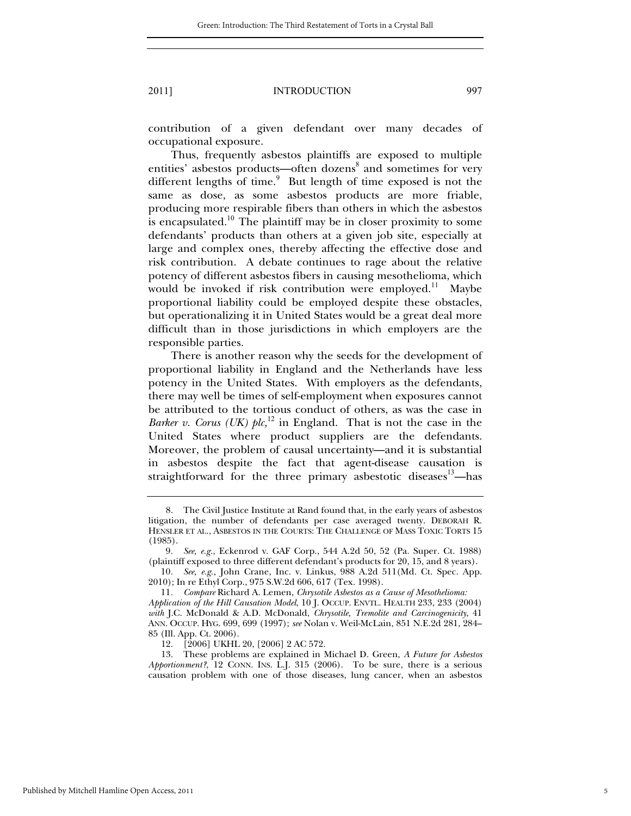contribution of a given defendant over many decades of occupational exposure.

Thus, frequently asbestos plaintiffs are exposed to multiple entities' asbestos products—often dozens<sup>8</sup> and sometimes for very different lengths of time.<sup>9</sup> But length of time exposed is not the same as dose, as some asbestos products are more friable, producing more respirable fibers than others in which the asbestos is encapsulated.<sup>10</sup> The plaintiff may be in closer proximity to some defendants' products than others at a given job site, especially at large and complex ones, thereby affecting the effective dose and risk contribution. A debate continues to rage about the relative potency of different asbestos fibers in causing mesothelioma, which would be invoked if risk contribution were employed.<sup>11</sup> Maybe proportional liability could be employed despite these obstacles, but operationalizing it in United States would be a great deal more difficult than in those jurisdictions in which employers are the responsible parties.

There is another reason why the seeds for the development of proportional liability in England and the Netherlands have less potency in the United States. With employers as the defendants, there may well be times of self-employment when exposures cannot be attributed to the tortious conduct of others, as was the case in *Barker v. Corus (UK) plc*,<sup>12</sup> in England. That is not the case in the United States where product suppliers are the defendants. Moreover, the problem of causal uncertainty—and it is substantial in asbestos despite the fact that agent-disease causation is straightforward for the three primary asbestotic diseases $13$ —has

 <sup>8.</sup> The Civil Justice Institute at Rand found that, in the early years of asbestos litigation, the number of defendants per case averaged twenty. DEBORAH R. HENSLER ET AL., ASBESTOS IN THE COURTS: THE CHALLENGE OF MASS TOXIC TORTS 15 (1985).

<sup>9</sup>*. See, e.g.*, Eckenrod v. GAF Corp., 544 A.2d 50, 52 (Pa. Super. Ct. 1988) (plaintiff exposed to three different defendant's products for 20, 15, and 8 years).

<sup>10</sup>*. See, e.g.,* John Crane, Inc. v. Linkus, 988 A.2d 511(Md. Ct. Spec. App. 2010); In re Ethyl Corp., 975 S.W.2d 606, 617 (Tex. 1998).

<sup>11</sup>*. Compare* Richard A. Lemen, *Chrysotile Asbestos as a Cause of Mesothelioma: Application of the Hill Causation Model*, 10 J. OCCUP. ENVTL. HEALTH 233, 233 (2004) *with* J.C. McDonald & A.D. McDonald, *Chrysotile, Tremolite and Carcinogenicity*, 41 ANN. OCCUP. HYG. 699, 699 (1997); *see* Nolan v. Weil-McLain, 851 N.E.2d 281, 284– 85 (Ill. App. Ct. 2006).

 <sup>12. [2006]</sup> UKHL 20, [2006] 2 AC 572.

 <sup>13.</sup> These problems are explained in Michael D. Green, *A Future for Asbestos Apportionment?*, 12 CONN. INS. L.J. 315 (2006). To be sure, there is a serious causation problem with one of those diseases, lung cancer, when an asbestos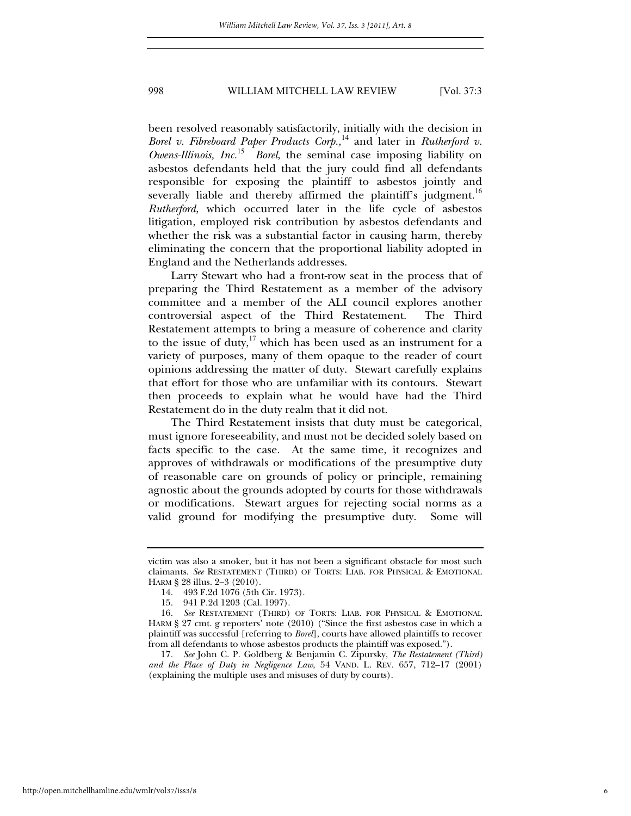been resolved reasonably satisfactorily, initially with the decision in *Borel v. Fibreboard Paper Products Corp.,*<sup>14</sup> and later in *Rutherford v. Owens-Illinois, Inc.*<sup>15</sup> *Borel*, the seminal case imposing liability on asbestos defendants held that the jury could find all defendants responsible for exposing the plaintiff to asbestos jointly and severally liable and thereby affirmed the plaintiff's judgment.<sup>16</sup> *Rutherford*, which occurred later in the life cycle of asbestos litigation, employed risk contribution by asbestos defendants and whether the risk was a substantial factor in causing harm, thereby eliminating the concern that the proportional liability adopted in England and the Netherlands addresses.

Larry Stewart who had a front-row seat in the process that of preparing the Third Restatement as a member of the advisory committee and a member of the ALI council explores another controversial aspect of the Third Restatement. The Third Restatement attempts to bring a measure of coherence and clarity to the issue of duty,<sup>17</sup> which has been used as an instrument for a variety of purposes, many of them opaque to the reader of court opinions addressing the matter of duty. Stewart carefully explains that effort for those who are unfamiliar with its contours. Stewart then proceeds to explain what he would have had the Third Restatement do in the duty realm that it did not.

The Third Restatement insists that duty must be categorical, must ignore foreseeability, and must not be decided solely based on facts specific to the case. At the same time, it recognizes and approves of withdrawals or modifications of the presumptive duty of reasonable care on grounds of policy or principle, remaining agnostic about the grounds adopted by courts for those withdrawals or modifications. Stewart argues for rejecting social norms as a valid ground for modifying the presumptive duty. Some will

victim was also a smoker, but it has not been a significant obstacle for most such claimants. *See* RESTATEMENT (THIRD) OF TORTS: LIAB. FOR PHYSICAL & EMOTIONAL HARM § 28 illus. 2–3 (2010).

 <sup>14. 493</sup> F.2d 1076 (5th Cir. 1973).

 <sup>15. 941</sup> P.2d 1203 (Cal. 1997).

<sup>16</sup>*. See* RESTATEMENT (THIRD) OF TORTS: LIAB. FOR PHYSICAL & EMOTIONAL HARM § 27 cmt. g reporters' note (2010) ("Since the first asbestos case in which a plaintiff was successful [referring to *Borel*], courts have allowed plaintiffs to recover from all defendants to whose asbestos products the plaintiff was exposed.").

<sup>17</sup>*. See* John C. P. Goldberg & Benjamin C. Zipursky, *The Restatement (Third) and the Place of Duty in Negligence Law*, 54 VAND. L. REV. 657, 712–17 (2001) (explaining the multiple uses and misuses of duty by courts).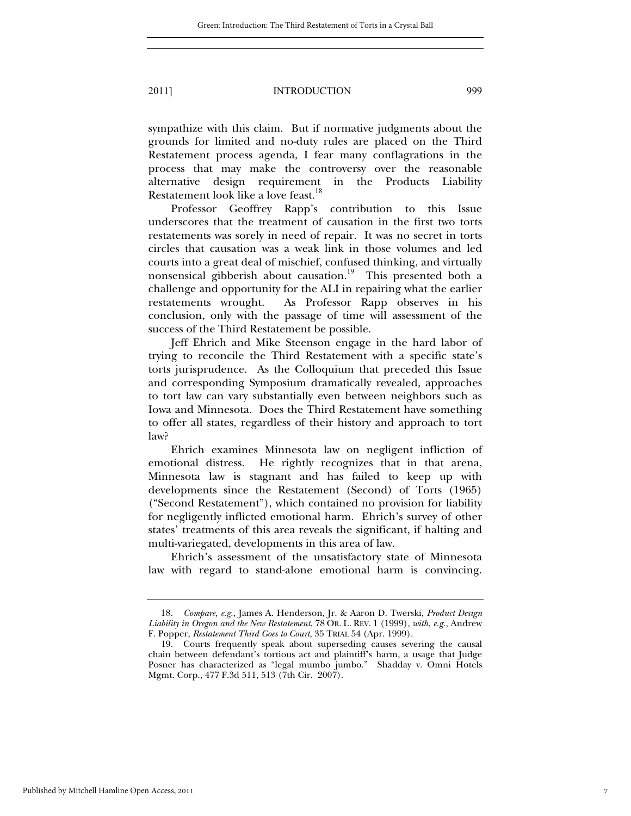sympathize with this claim. But if normative judgments about the grounds for limited and no-duty rules are placed on the Third Restatement process agenda, I fear many conflagrations in the process that may make the controversy over the reasonable alternative design requirement in the Products Liability Restatement look like a love feast.<sup>18</sup>

Professor Geoffrey Rapp's contribution to this Issue underscores that the treatment of causation in the first two torts restatements was sorely in need of repair. It was no secret in torts circles that causation was a weak link in those volumes and led courts into a great deal of mischief, confused thinking, and virtually nonsensical gibberish about causation.<sup>19</sup> This presented both a challenge and opportunity for the ALI in repairing what the earlier restatements wrought. As Professor Rapp observes in his conclusion, only with the passage of time will assessment of the success of the Third Restatement be possible.

Jeff Ehrich and Mike Steenson engage in the hard labor of trying to reconcile the Third Restatement with a specific state's torts jurisprudence. As the Colloquium that preceded this Issue and corresponding Symposium dramatically revealed, approaches to tort law can vary substantially even between neighbors such as Iowa and Minnesota. Does the Third Restatement have something to offer all states, regardless of their history and approach to tort law?

Ehrich examines Minnesota law on negligent infliction of emotional distress. He rightly recognizes that in that arena, Minnesota law is stagnant and has failed to keep up with developments since the Restatement (Second) of Torts (1965) ("Second Restatement"), which contained no provision for liability for negligently inflicted emotional harm. Ehrich's survey of other states' treatments of this area reveals the significant, if halting and multi-variegated, developments in this area of law.

Ehrich's assessment of the unsatisfactory state of Minnesota law with regard to stand-alone emotional harm is convincing.

<sup>18</sup>*. Compare, e.g.,* James A. Henderson, Jr. & Aaron D. Twerski, *Product Design Liability in Oregon and the New Restatement*, 78 OR. L. REV. 1 (1999), *with, e.g.,* Andrew F. Popper, *Restatement Third Goes to Court*, 35 TRIAL 54 (Apr. 1999).

 <sup>19.</sup> Courts frequently speak about superseding causes severing the causal chain between defendant's tortious act and plaintiff's harm, a usage that Judge Posner has characterized as "legal mumbo jumbo." Shadday v. Omni Hotels Mgmt. Corp., 477 F.3d 511, 513 (7th Cir. 2007).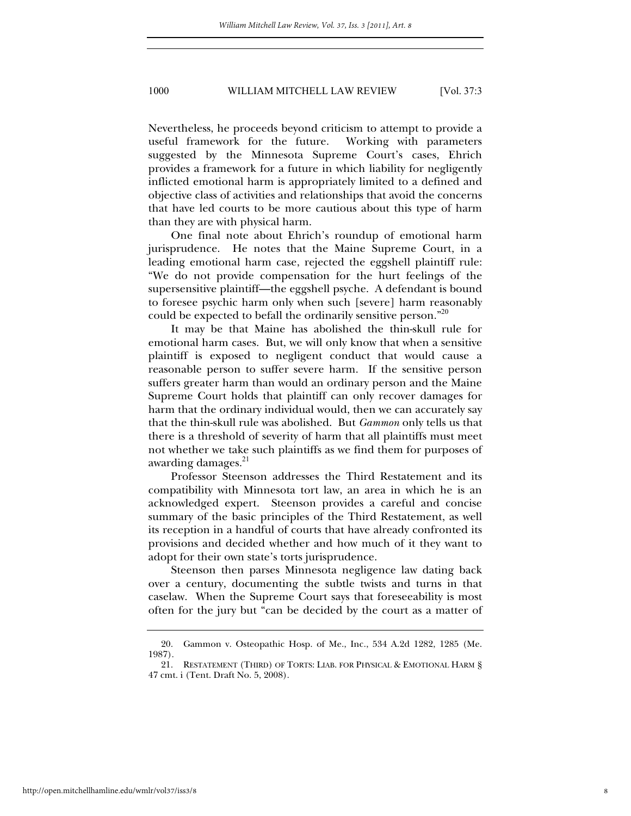Nevertheless, he proceeds beyond criticism to attempt to provide a useful framework for the future. Working with parameters suggested by the Minnesota Supreme Court's cases, Ehrich provides a framework for a future in which liability for negligently inflicted emotional harm is appropriately limited to a defined and objective class of activities and relationships that avoid the concerns that have led courts to be more cautious about this type of harm than they are with physical harm.

One final note about Ehrich's roundup of emotional harm jurisprudence. He notes that the Maine Supreme Court, in a leading emotional harm case, rejected the eggshell plaintiff rule: "We do not provide compensation for the hurt feelings of the supersensitive plaintiff—the eggshell psyche. A defendant is bound to foresee psychic harm only when such [severe] harm reasonably could be expected to befall the ordinarily sensitive person."<sup>20</sup>

It may be that Maine has abolished the thin-skull rule for emotional harm cases. But, we will only know that when a sensitive plaintiff is exposed to negligent conduct that would cause a reasonable person to suffer severe harm. If the sensitive person suffers greater harm than would an ordinary person and the Maine Supreme Court holds that plaintiff can only recover damages for harm that the ordinary individual would, then we can accurately say that the thin-skull rule was abolished. But *Gammon* only tells us that there is a threshold of severity of harm that all plaintiffs must meet not whether we take such plaintiffs as we find them for purposes of awarding damages. $21$ 

Professor Steenson addresses the Third Restatement and its compatibility with Minnesota tort law, an area in which he is an acknowledged expert. Steenson provides a careful and concise summary of the basic principles of the Third Restatement, as well its reception in a handful of courts that have already confronted its provisions and decided whether and how much of it they want to adopt for their own state's torts jurisprudence.

Steenson then parses Minnesota negligence law dating back over a century, documenting the subtle twists and turns in that caselaw. When the Supreme Court says that foreseeability is most often for the jury but "can be decided by the court as a matter of

 <sup>20.</sup> Gammon v. Osteopathic Hosp. of Me., Inc., 534 A.2d 1282, 1285 (Me. 1987).

 <sup>21.</sup> RESTATEMENT (THIRD) OF TORTS: LIAB. FOR PHYSICAL & EMOTIONAL HARM § 47 cmt. i (Tent. Draft No. 5, 2008).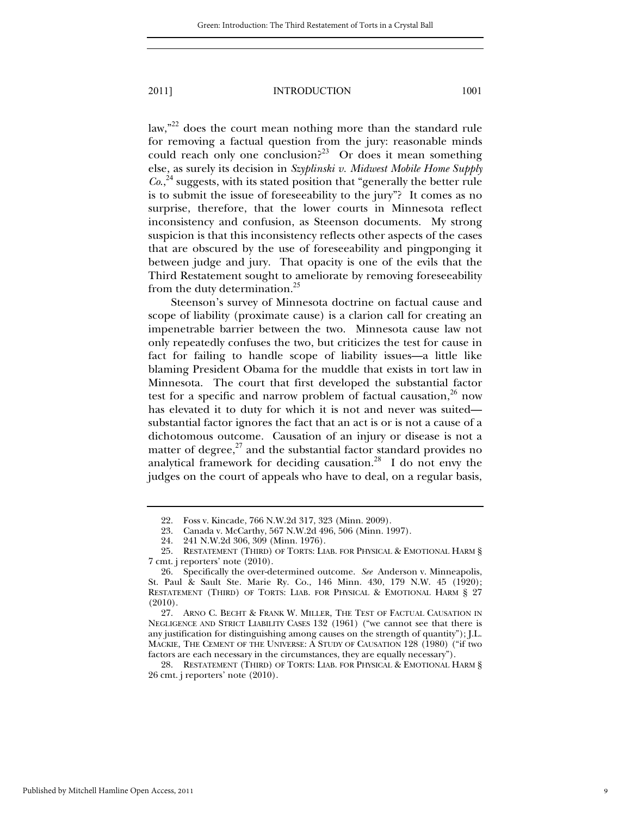law,"<sup>22</sup> does the court mean nothing more than the standard rule for removing a factual question from the jury: reasonable minds could reach only one conclusion?<sup>23</sup> Or does it mean something else, as surely its decision in *Szyplinski v. Midwest Mobile Home Supply*   $Co<sub>1</sub><sup>24</sup>$  suggests, with its stated position that "generally the better rule is to submit the issue of foreseeability to the jury"? It comes as no surprise, therefore, that the lower courts in Minnesota reflect inconsistency and confusion, as Steenson documents. My strong suspicion is that this inconsistency reflects other aspects of the cases that are obscured by the use of foreseeability and pingponging it between judge and jury. That opacity is one of the evils that the Third Restatement sought to ameliorate by removing foreseeability from the duty determination.<sup>25</sup>

Steenson's survey of Minnesota doctrine on factual cause and scope of liability (proximate cause) is a clarion call for creating an impenetrable barrier between the two. Minnesota cause law not only repeatedly confuses the two, but criticizes the test for cause in fact for failing to handle scope of liability issues—a little like blaming President Obama for the muddle that exists in tort law in Minnesota. The court that first developed the substantial factor test for a specific and narrow problem of factual causation, $26$  now has elevated it to duty for which it is not and never was suited substantial factor ignores the fact that an act is or is not a cause of a dichotomous outcome. Causation of an injury or disease is not a matter of degree, $^{27}$  and the substantial factor standard provides no analytical framework for deciding causation.<sup>28</sup> I do not envy the judges on the court of appeals who have to deal, on a regular basis,

 <sup>22.</sup> Foss v. Kincade, 766 N.W.2d 317, 323 (Minn. 2009).

 <sup>23.</sup> Canada v. McCarthy, 567 N.W.2d 496, 506 (Minn. 1997).

 <sup>24. 241</sup> N.W.2d 306, 309 (Minn. 1976).

 <sup>25.</sup> RESTATEMENT (THIRD) OF TORTS: LIAB. FOR PHYSICAL & EMOTIONAL HARM § 7 cmt. j reporters' note (2010).

 <sup>26.</sup> Specifically the over-determined outcome. *See* Anderson v. Minneapolis, St. Paul & Sault Ste. Marie Ry. Co., 146 Minn. 430, 179 N.W. 45 (1920); RESTATEMENT (THIRD) OF TORTS: LIAB. FOR PHYSICAL & EMOTIONAL HARM § 27 (2010).

 <sup>27.</sup> ARNO C. BECHT & FRANK W. MILLER, THE TEST OF FACTUAL CAUSATION IN NEGLIGENCE AND STRICT LIABILITY CASES 132 (1961) ("we cannot see that there is any justification for distinguishing among causes on the strength of quantity"); J.L. MACKIE, THE CEMENT OF THE UNIVERSE: A STUDY OF CAUSATION 128 (1980) ("if two factors are each necessary in the circumstances, they are equally necessary").

 <sup>28.</sup> RESTATEMENT (THIRD) OF TORTS: LIAB. FOR PHYSICAL & EMOTIONAL HARM § 26 cmt. j reporters' note (2010).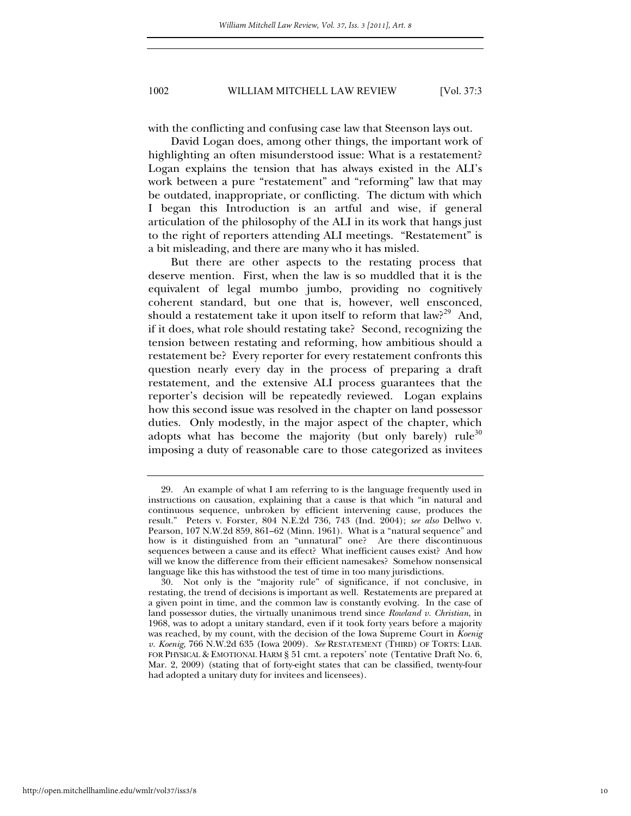with the conflicting and confusing case law that Steenson lays out.

David Logan does, among other things, the important work of highlighting an often misunderstood issue: What is a restatement? Logan explains the tension that has always existed in the ALI's work between a pure "restatement" and "reforming" law that may be outdated, inappropriate, or conflicting. The dictum with which I began this Introduction is an artful and wise, if general articulation of the philosophy of the ALI in its work that hangs just to the right of reporters attending ALI meetings. "Restatement" is a bit misleading, and there are many who it has misled.

But there are other aspects to the restating process that deserve mention. First, when the law is so muddled that it is the equivalent of legal mumbo jumbo, providing no cognitively coherent standard, but one that is, however, well ensconced, should a restatement take it upon itself to reform that  $law<sup>29</sup>$  And, if it does, what role should restating take? Second, recognizing the tension between restating and reforming, how ambitious should a restatement be? Every reporter for every restatement confronts this question nearly every day in the process of preparing a draft restatement, and the extensive ALI process guarantees that the reporter's decision will be repeatedly reviewed. Logan explains how this second issue was resolved in the chapter on land possessor duties. Only modestly, in the major aspect of the chapter, which adopts what has become the majority (but only barely) rule<sup>30</sup> imposing a duty of reasonable care to those categorized as invitees

 <sup>29.</sup> An example of what I am referring to is the language frequently used in instructions on causation, explaining that a cause is that which "in natural and continuous sequence, unbroken by efficient intervening cause, produces the result." Peters v. Forster, 804 N.E.2d 736, 743 (Ind. 2004); *see also* Dellwo v. Pearson, 107 N.W.2d 859, 861–62 (Minn. 1961). What is a "natural sequence" and how is it distinguished from an "unnatural" one? Are there discontinuous sequences between a cause and its effect? What inefficient causes exist? And how will we know the difference from their efficient namesakes? Somehow nonsensical language like this has withstood the test of time in too many jurisdictions.

 <sup>30.</sup> Not only is the "majority rule" of significance, if not conclusive, in restating, the trend of decisions is important as well. Restatements are prepared at a given point in time, and the common law is constantly evolving. In the case of land possessor duties, the virtually unanimous trend since *Rowland v. Christian*, in 1968, was to adopt a unitary standard, even if it took forty years before a majority was reached, by my count, with the decision of the Iowa Supreme Court in *Koenig v. Koenig*, 766 N.W.2d 635 (Iowa 2009). *See* RESTATEMENT (THIRD) OF TORTS: LIAB. FOR PHYSICAL & EMOTIONAL HARM § 51 cmt. a repoters' note (Tentative Draft No. 6, Mar. 2, 2009) (stating that of forty-eight states that can be classified, twenty-four had adopted a unitary duty for invitees and licensees).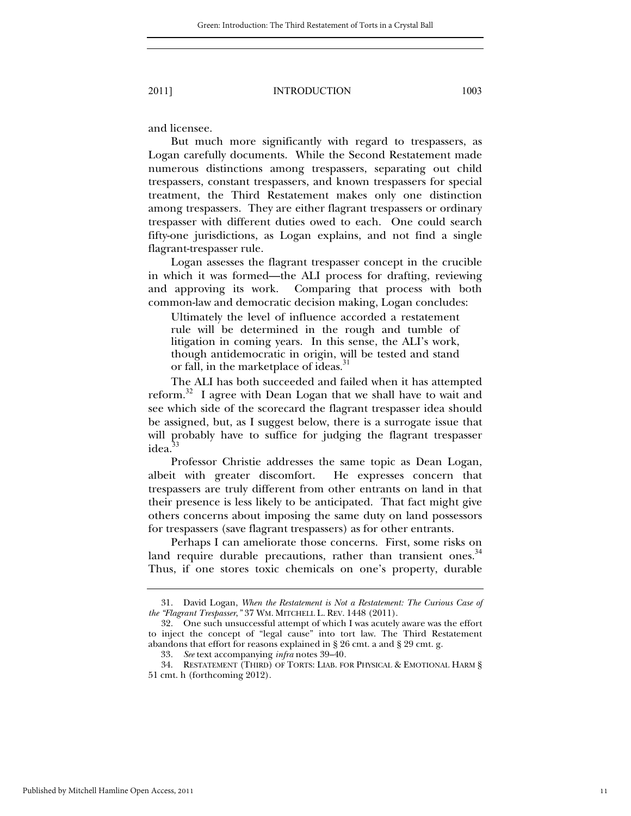and licensee.

But much more significantly with regard to trespassers, as Logan carefully documents. While the Second Restatement made numerous distinctions among trespassers, separating out child trespassers, constant trespassers, and known trespassers for special treatment, the Third Restatement makes only one distinction among trespassers. They are either flagrant trespassers or ordinary trespasser with different duties owed to each. One could search fifty-one jurisdictions, as Logan explains, and not find a single flagrant-trespasser rule.

Logan assesses the flagrant trespasser concept in the crucible in which it was formed—the ALI process for drafting, reviewing and approving its work. Comparing that process with both common-law and democratic decision making, Logan concludes:

Ultimately the level of influence accorded a restatement rule will be determined in the rough and tumble of litigation in coming years. In this sense, the ALI's work, though antidemocratic in origin, will be tested and stand or fall, in the marketplace of ideas. 31

The ALI has both succeeded and failed when it has attempted reform.<sup>32</sup> I agree with Dean Logan that we shall have to wait and see which side of the scorecard the flagrant trespasser idea should be assigned, but, as I suggest below, there is a surrogate issue that will probably have to suffice for judging the flagrant trespasser idea.<sup>33</sup>

Professor Christie addresses the same topic as Dean Logan, albeit with greater discomfort. He expresses concern that trespassers are truly different from other entrants on land in that their presence is less likely to be anticipated. That fact might give others concerns about imposing the same duty on land possessors for trespassers (save flagrant trespassers) as for other entrants.

Perhaps I can ameliorate those concerns. First, some risks on land require durable precautions, rather than transient ones.<sup>34</sup> Thus, if one stores toxic chemicals on one's property, durable

 <sup>31.</sup> David Logan, *When the Restatement is Not a Restatement: The Curious Case of the "Flagrant Trespasser*,*"* 37 WM. MITCHELL L. REV. 1448 (2011).

 <sup>32.</sup> One such unsuccessful attempt of which I was acutely aware was the effort to inject the concept of "legal cause" into tort law. The Third Restatement abandons that effort for reasons explained in § 26 cmt. a and § 29 cmt. g.

<sup>33</sup>*. See* text accompanying *infra* notes 39–40*.*

 <sup>34.</sup> RESTATEMENT (THIRD) OF TORTS: LIAB. FOR PHYSICAL & EMOTIONAL HARM § 51 cmt. h (forthcoming 2012).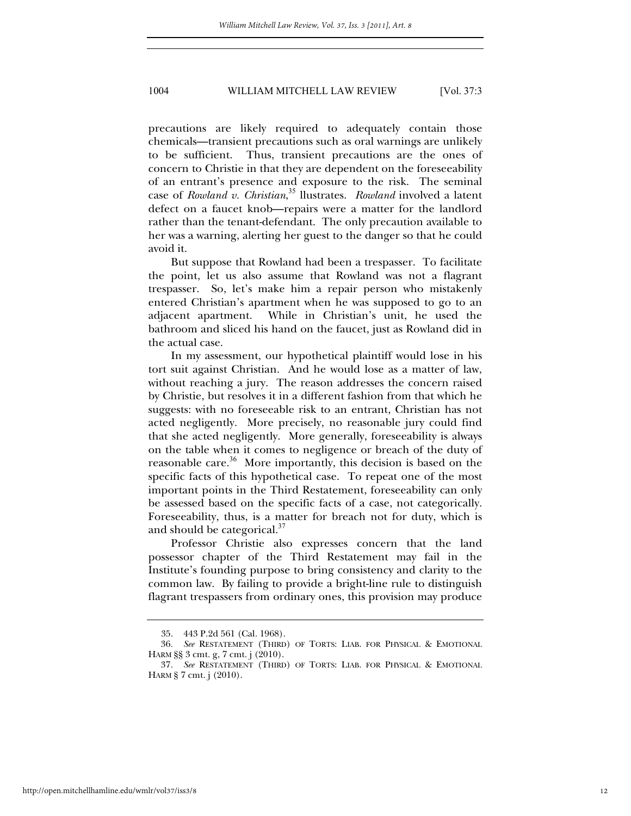precautions are likely required to adequately contain those chemicals—transient precautions such as oral warnings are unlikely to be sufficient. Thus, transient precautions are the ones of concern to Christie in that they are dependent on the foreseeability of an entrant's presence and exposure to the risk. The seminal case of *Rowland v. Christian*, <sup>35</sup> llustrates. *Rowland* involved a latent defect on a faucet knob—repairs were a matter for the landlord rather than the tenant-defendant. The only precaution available to her was a warning, alerting her guest to the danger so that he could avoid it.

But suppose that Rowland had been a trespasser. To facilitate the point, let us also assume that Rowland was not a flagrant trespasser. So, let's make him a repair person who mistakenly entered Christian's apartment when he was supposed to go to an adjacent apartment. While in Christian's unit, he used the bathroom and sliced his hand on the faucet, just as Rowland did in the actual case.

In my assessment, our hypothetical plaintiff would lose in his tort suit against Christian. And he would lose as a matter of law, without reaching a jury. The reason addresses the concern raised by Christie, but resolves it in a different fashion from that which he suggests: with no foreseeable risk to an entrant, Christian has not acted negligently. More precisely, no reasonable jury could find that she acted negligently. More generally, foreseeability is always on the table when it comes to negligence or breach of the duty of reasonable care.<sup>36</sup> More importantly, this decision is based on the specific facts of this hypothetical case. To repeat one of the most important points in the Third Restatement, foreseeability can only be assessed based on the specific facts of a case, not categorically. Foreseeability, thus, is a matter for breach not for duty, which is and should be categorical.<sup>37</sup>

Professor Christie also expresses concern that the land possessor chapter of the Third Restatement may fail in the Institute's founding purpose to bring consistency and clarity to the common law. By failing to provide a bright-line rule to distinguish flagrant trespassers from ordinary ones, this provision may produce

 <sup>35. 443</sup> P.2d 561 (Cal. 1968).

<sup>36</sup>*. See* RESTATEMENT (THIRD) OF TORTS: LIAB. FOR PHYSICAL & EMOTIONAL HARM §§ 3 cmt. g, 7 cmt. j (2010).

<sup>37</sup>*. See* RESTATEMENT (THIRD) OF TORTS: LIAB. FOR PHYSICAL & EMOTIONAL HARM § 7 cmt. j (2010).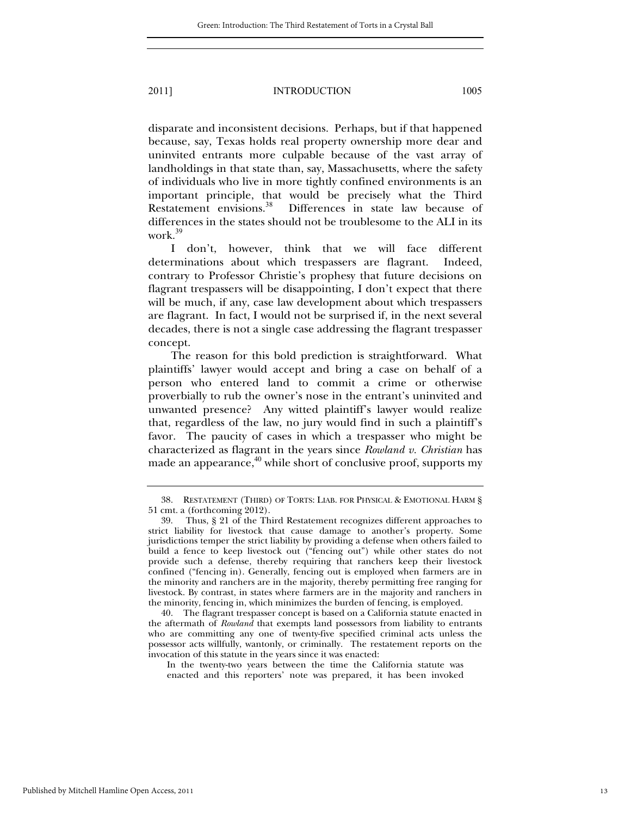work.<sup>39</sup>

2011] INTRODUCTION 1005

disparate and inconsistent decisions. Perhaps, but if that happened because, say, Texas holds real property ownership more dear and uninvited entrants more culpable because of the vast array of landholdings in that state than, say, Massachusetts, where the safety of individuals who live in more tightly confined environments is an important principle, that would be precisely what the Third Restatement envisions.<sup>38</sup> Differences in state law because of differences in the states should not be troublesome to the ALI in its

I don't, however, think that we will face different determinations about which trespassers are flagrant. Indeed, contrary to Professor Christie's prophesy that future decisions on flagrant trespassers will be disappointing, I don't expect that there will be much, if any, case law development about which trespassers are flagrant. In fact, I would not be surprised if, in the next several decades, there is not a single case addressing the flagrant trespasser concept.

The reason for this bold prediction is straightforward. What plaintiffs' lawyer would accept and bring a case on behalf of a person who entered land to commit a crime or otherwise proverbially to rub the owner's nose in the entrant's uninvited and unwanted presence? Any witted plaintiff's lawyer would realize that, regardless of the law, no jury would find in such a plaintiff's favor. The paucity of cases in which a trespasser who might be characterized as flagrant in the years since *Rowland v. Christian* has made an appearance, $40$  while short of conclusive proof, supports my

 <sup>38.</sup> RESTATEMENT (THIRD) OF TORTS: LIAB. FOR PHYSICAL & EMOTIONAL HARM § 51 cmt. a (forthcoming 2012).

 <sup>39.</sup> Thus, § 21 of the Third Restatement recognizes different approaches to strict liability for livestock that cause damage to another's property. Some jurisdictions temper the strict liability by providing a defense when others failed to build a fence to keep livestock out ("fencing out") while other states do not provide such a defense, thereby requiring that ranchers keep their livestock confined ("fencing in). Generally, fencing out is employed when farmers are in the minority and ranchers are in the majority, thereby permitting free ranging for livestock. By contrast, in states where farmers are in the majority and ranchers in the minority, fencing in, which minimizes the burden of fencing, is employed.

 <sup>40.</sup> The flagrant trespasser concept is based on a California statute enacted in the aftermath of *Rowland* that exempts land possessors from liability to entrants who are committing any one of twenty-five specified criminal acts unless the possessor acts willfully, wantonly, or criminally. The restatement reports on the invocation of this statute in the years since it was enacted:

In the twenty-two years between the time the California statute was enacted and this reporters' note was prepared, it has been invoked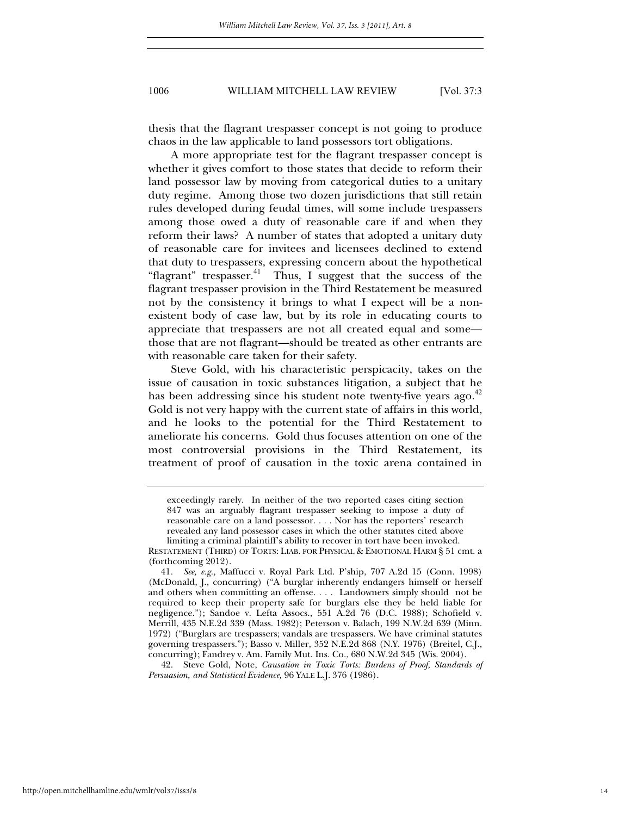thesis that the flagrant trespasser concept is not going to produce chaos in the law applicable to land possessors tort obligations.

A more appropriate test for the flagrant trespasser concept is whether it gives comfort to those states that decide to reform their land possessor law by moving from categorical duties to a unitary duty regime. Among those two dozen jurisdictions that still retain rules developed during feudal times, will some include trespassers among those owed a duty of reasonable care if and when they reform their laws? A number of states that adopted a unitary duty of reasonable care for invitees and licensees declined to extend that duty to trespassers, expressing concern about the hypothetical "flagrant" trespasser.<sup>41</sup> Thus, I suggest that the success of the flagrant trespasser provision in the Third Restatement be measured not by the consistency it brings to what I expect will be a nonexistent body of case law, but by its role in educating courts to appreciate that trespassers are not all created equal and some those that are not flagrant—should be treated as other entrants are with reasonable care taken for their safety.

Steve Gold, with his characteristic perspicacity, takes on the issue of causation in toxic substances litigation, a subject that he has been addressing since his student note twenty-five years ago.<sup>42</sup> Gold is not very happy with the current state of affairs in this world, and he looks to the potential for the Third Restatement to ameliorate his concerns. Gold thus focuses attention on one of the most controversial provisions in the Third Restatement, its treatment of proof of causation in the toxic arena contained in

 42. Steve Gold, Note, *Causation in Toxic Torts: Burdens of Proof, Standards of Persuasion, and Statistical Evidence,* 96 YALE L.J. 376 (1986).

exceedingly rarely. In neither of the two reported cases citing section 847 was an arguably flagrant trespasser seeking to impose a duty of reasonable care on a land possessor. . . . Nor has the reporters' research revealed any land possessor cases in which the other statutes cited above limiting a criminal plaintiff's ability to recover in tort have been invoked.

RESTATEMENT (THIRD) OF TORTS: LIAB. FOR PHYSICAL & EMOTIONAL HARM § 51 cmt. a (forthcoming 2012).

<sup>41</sup>*. See, e.g.,* Maffucci v. Royal Park Ltd. P'ship, 707 A.2d 15 (Conn. 1998) (McDonald, J., concurring) ("A burglar inherently endangers himself or herself and others when committing an offense. . . . Landowners simply should not be required to keep their property safe for burglars else they be held liable for negligence."); Sandoe v. Lefta Assocs., 551 A.2d 76 (D.C. 1988); Schofield v. Merrill, 435 N.E.2d 339 (Mass. 1982); Peterson v. Balach, 199 N.W.2d 639 (Minn. 1972) ("Burglars are trespassers; vandals are trespassers. We have criminal statutes governing trespassers."); Basso v. Miller, 352 N.E.2d 868 (N.Y. 1976) (Breitel, C.J., concurring); Fandrey v. Am. Family Mut. Ins. Co., 680 N.W.2d 345 (Wis. 2004).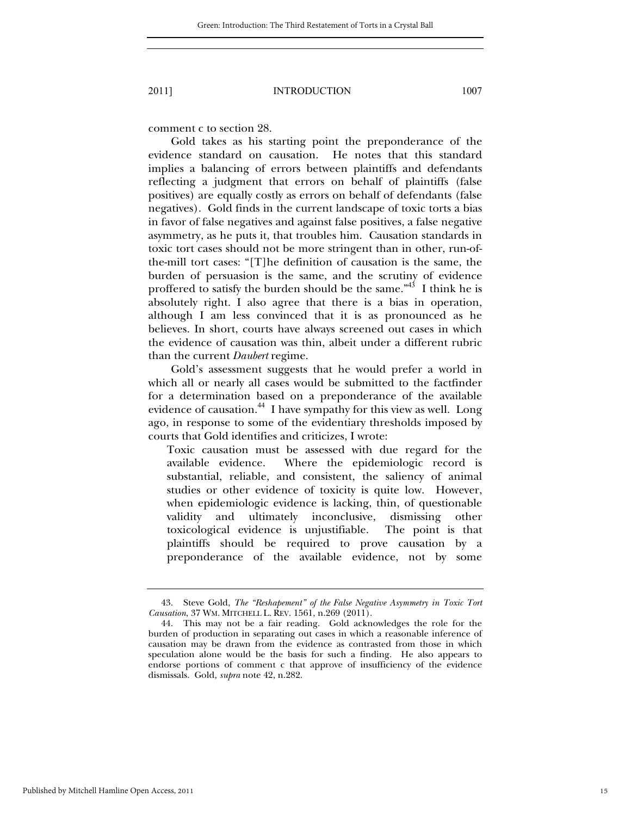comment c to section 28.

Gold takes as his starting point the preponderance of the evidence standard on causation. He notes that this standard implies a balancing of errors between plaintiffs and defendants reflecting a judgment that errors on behalf of plaintiffs (false positives) are equally costly as errors on behalf of defendants (false negatives). Gold finds in the current landscape of toxic torts a bias in favor of false negatives and against false positives, a false negative asymmetry, as he puts it, that troubles him. Causation standards in toxic tort cases should not be more stringent than in other, run-ofthe-mill tort cases: "[T]he definition of causation is the same, the burden of persuasion is the same, and the scrutiny of evidence proffered to satisfy the burden should be the same.<sup> $n43$ </sup> I think he is absolutely right. I also agree that there is a bias in operation, although I am less convinced that it is as pronounced as he believes. In short, courts have always screened out cases in which the evidence of causation was thin, albeit under a different rubric than the current *Daubert* regime.

Gold's assessment suggests that he would prefer a world in which all or nearly all cases would be submitted to the factfinder for a determination based on a preponderance of the available evidence of causation.<sup>44</sup> I have sympathy for this view as well. Long ago, in response to some of the evidentiary thresholds imposed by courts that Gold identifies and criticizes, I wrote:

Toxic causation must be assessed with due regard for the available evidence. Where the epidemiologic record is substantial, reliable, and consistent, the saliency of animal studies or other evidence of toxicity is quite low. However, when epidemiologic evidence is lacking, thin, of questionable validity and ultimately inconclusive, dismissing other toxicological evidence is unjustifiable. The point is that plaintiffs should be required to prove causation by a preponderance of the available evidence, not by some

 <sup>43.</sup> Steve Gold, *The "Reshapement" of the False Negative Asymmetry in Toxic Tort Causation*, 37 WM. MITCHELL L. REV. 1561, n.269 (2011).

 <sup>44.</sup> This may not be a fair reading. Gold acknowledges the role for the burden of production in separating out cases in which a reasonable inference of causation may be drawn from the evidence as contrasted from those in which speculation alone would be the basis for such a finding. He also appears to endorse portions of comment c that approve of insufficiency of the evidence dismissals. Gold*, supra* note 42, n.282.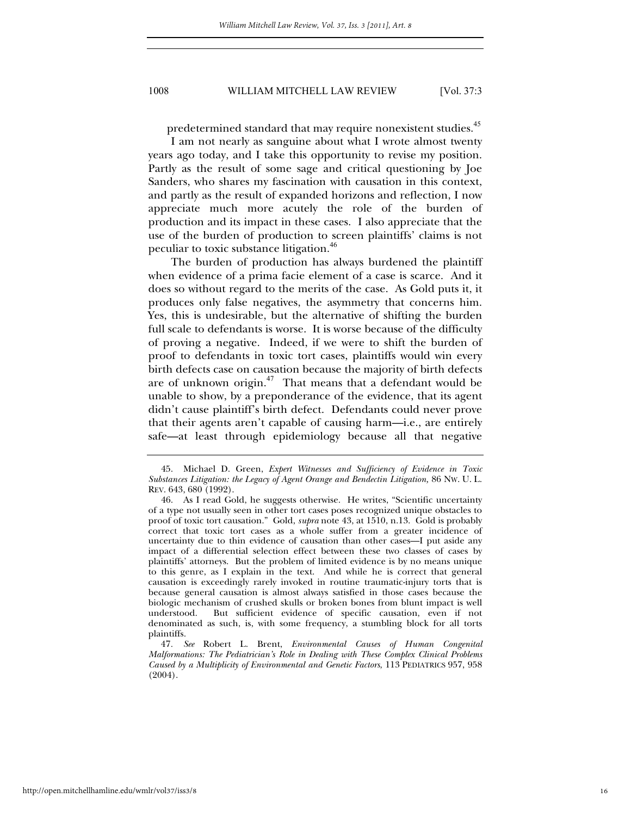predetermined standard that may require nonexistent studies.<sup>45</sup>

I am not nearly as sanguine about what I wrote almost twenty years ago today, and I take this opportunity to revise my position. Partly as the result of some sage and critical questioning by Joe Sanders, who shares my fascination with causation in this context, and partly as the result of expanded horizons and reflection, I now appreciate much more acutely the role of the burden of production and its impact in these cases. I also appreciate that the use of the burden of production to screen plaintiffs' claims is not peculiar to toxic substance litigation.<sup>46</sup>

The burden of production has always burdened the plaintiff when evidence of a prima facie element of a case is scarce. And it does so without regard to the merits of the case. As Gold puts it, it produces only false negatives, the asymmetry that concerns him. Yes, this is undesirable, but the alternative of shifting the burden full scale to defendants is worse. It is worse because of the difficulty of proving a negative. Indeed, if we were to shift the burden of proof to defendants in toxic tort cases, plaintiffs would win every birth defects case on causation because the majority of birth defects are of unknown origin.<sup>47</sup> That means that a defendant would be unable to show, by a preponderance of the evidence, that its agent didn't cause plaintiff's birth defect. Defendants could never prove that their agents aren't capable of causing harm—i.e., are entirely safe—at least through epidemiology because all that negative

47*. See* Robert L. Brent, *Environmental Causes of Human Congenital Malformations: The Pediatrician's Role in Dealing with These Complex Clinical Problems Caused by a Multiplicity of Environmental and Genetic Factors*, 113 PEDIATRICS 957, 958 (2004).

 <sup>45.</sup> Michael D. Green, *Expert Witnesses and Sufficiency of Evidence in Toxic Substances Litigation: the Legacy of Agent Orange and Bendectin Litigation,* 86 NW. U. L. REV. 643, 680 (1992).

 <sup>46.</sup> As I read Gold, he suggests otherwise. He writes, "Scientific uncertainty of a type not usually seen in other tort cases poses recognized unique obstacles to proof of toxic tort causation." Gold, *supra* note 43, at 1510, n.13. Gold is probably correct that toxic tort cases as a whole suffer from a greater incidence of uncertainty due to thin evidence of causation than other cases—I put aside any impact of a differential selection effect between these two classes of cases by plaintiffs' attorneys. But the problem of limited evidence is by no means unique to this genre, as I explain in the text. And while he is correct that general causation is exceedingly rarely invoked in routine traumatic-injury torts that is because general causation is almost always satisfied in those cases because the biologic mechanism of crushed skulls or broken bones from blunt impact is well understood. But sufficient evidence of specific causation, even if not denominated as such, is, with some frequency, a stumbling block for all torts plaintiffs.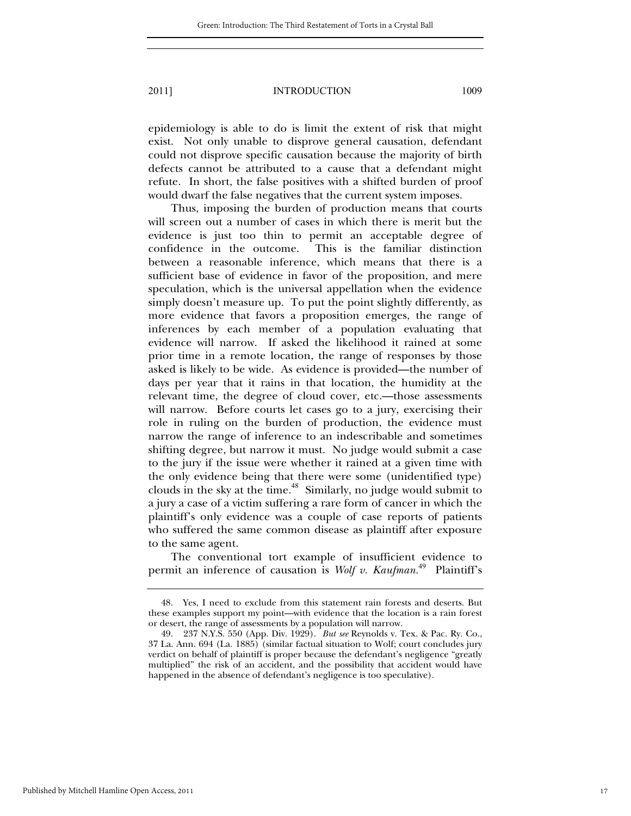epidemiology is able to do is limit the extent of risk that might exist. Not only unable to disprove general causation, defendant could not disprove specific causation because the majority of birth defects cannot be attributed to a cause that a defendant might refute. In short, the false positives with a shifted burden of proof would dwarf the false negatives that the current system imposes.

Thus, imposing the burden of production means that courts will screen out a number of cases in which there is merit but the evidence is just too thin to permit an acceptable degree of confidence in the outcome. This is the familiar distinction between a reasonable inference, which means that there is a sufficient base of evidence in favor of the proposition, and mere speculation, which is the universal appellation when the evidence simply doesn't measure up. To put the point slightly differently, as more evidence that favors a proposition emerges, the range of inferences by each member of a population evaluating that evidence will narrow. If asked the likelihood it rained at some prior time in a remote location, the range of responses by those asked is likely to be wide. As evidence is provided—the number of days per year that it rains in that location, the humidity at the relevant time, the degree of cloud cover, etc.—those assessments will narrow. Before courts let cases go to a jury, exercising their role in ruling on the burden of production, the evidence must narrow the range of inference to an indescribable and sometimes shifting degree, but narrow it must. No judge would submit a case to the jury if the issue were whether it rained at a given time with the only evidence being that there were some (unidentified type) clouds in the sky at the time.<sup>48</sup> Similarly, no judge would submit to a jury a case of a victim suffering a rare form of cancer in which the plaintiff's only evidence was a couple of case reports of patients who suffered the same common disease as plaintiff after exposure to the same agent.

The conventional tort example of insufficient evidence to permit an inference of causation is *Wolf v. Kaufman.*<sup>49</sup> Plaintiff's

 <sup>48.</sup> Yes, I need to exclude from this statement rain forests and deserts. But these examples support my point—with evidence that the location is a rain forest or desert, the range of assessments by a population will narrow.

 <sup>49. 237</sup> N.Y.S. 550 (App. Div. 1929). *But see* Reynolds v. Tex. & Pac. Ry. Co., 37 La. Ann. 694 (La. 1885) (similar factual situation to Wolf; court concludes jury verdict on behalf of plaintiff is proper because the defendant's negligence "greatly multiplied" the risk of an accident, and the possibility that accident would have happened in the absence of defendant's negligence is too speculative).